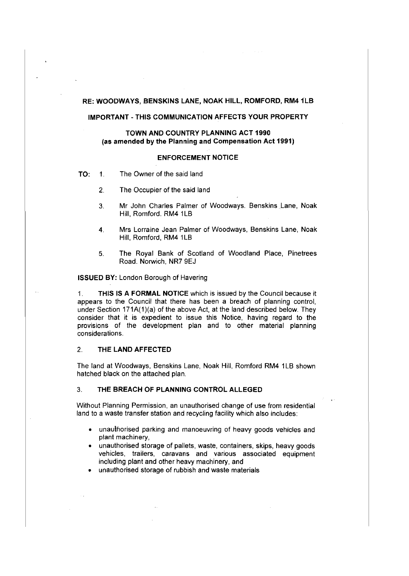### **RE: WOODWAYS, BENSKINS LANE, NOAK HILL, ROMFORD, RM41LB**

# **IMPORTANT-THIS COMMUNICATION AFFECTS YOUR PROPERTY**

## **TOWN AND COUNTRY PLANNING ACT 1990** (as **amended by the Planning and Compensation Act 1991)**

#### **ENFORCEMENT NOTICE**

**TO:** 1. The Owner of the said land

- 2. The Occupier of the said land
- 3. Mr John Charles Palmer of Woodways. Benskins Lane, Noak Hill, Romford. RM4 1LB
- 4. Mrs Lorraine Jean Palmer of Woodways, Benskins Lane, Noak Hill, Romford, RM4 1LB
- 5. The Royal Bank of Scotland of Woodland Place, Pinetrees Road. Norwich, NR7 9EJ

**ISSUED BY:** London Borough of Havering

1. **THIS IS A FORMAL NOTICE** which is issued by the Council because it appears to the Council that there has been a breach of planning control, under Section 171A(1)(a) of the above Act, at the land described below. They consider that it is expedient to issue this Notice, having regard to the provisions of the development plan and to other material planning considerations.

#### 2. **THE LAND AFFECTED**

The land at Woodways, Benskins Lane, Noak Hill, Romford RM4 1LB shown hatched black on the attached plan.

#### 3. **THE BREACH OF PLANNING CONTROL ALLEGED**

Without Planning Permission, an unauthorised change of use from residential land to a waste transfer station and recycling facility which also includes:

- unauthorised parking and manoeuvring of heavy goods vehicles and plant machinery,
- unauthorised storage of pallets, waste, containers, skips, heavy goods vehicles, trailers, caravans and various associated equipment including plant and other heavy machinery, and
- unauthorised storage of rubbish and waste materials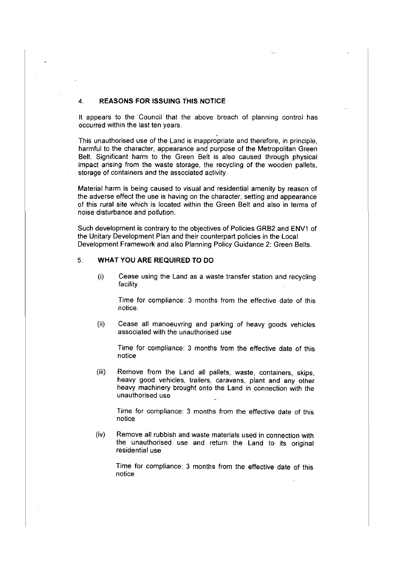# 4. **REASONS FOR ISSUING THIS NOTICE**

It appears to the Council that the above breach of planning control has occurred within the last ten years.

This unauthorised use of the Land is inappropriate and therefore, in principle, harmful to the character, appearance and purpose of the Metropolitan Green Belt. Significant harm to the Green Belt is also caused through physical impact arising from the waste storage, the recycling of the wooden pallets, storage of containers and the associated activity.

Material harm is being caused to visual and residential amenity by reason of the adverse effect the use is having on the character, setting and appearance of this rural site which is located within the Green Belt and also in terms of noise disturbance and pollution.

Such development is contrary to the objectives of Policies GRB2 and ENV1 of the Unitary Development Plan and their counterpart policies in the Local Development Framework and also Planning Policy Guidance 2: Green Belts.

## 5. **WHAT YOU ARE REQUIRED TO DO**

(i) Cease using the Land as a waste transfer station and recycling facility

Time for compliance: 3 months from the effective date of this notice.

(ii) Cease all manoeuvring and parking of heavy goods vehicles associated with the unauthorised use

Time for compliance: 3 months from the effective date of this notice

(iii) Remove from the Land all pallets, waste, containers, skips, heavy good vehicles, trailers, caravans, plant and any other heavy machinery brought onto the Land in connection with the unauthorised use

Time for compliance: 3 months from the effective date of this notice

(iv) Remove all rubbish and waste materials used in connection with the unauthorised use and return the Land to its original residential use

Time for compliance: 3 months from the effective date of this notice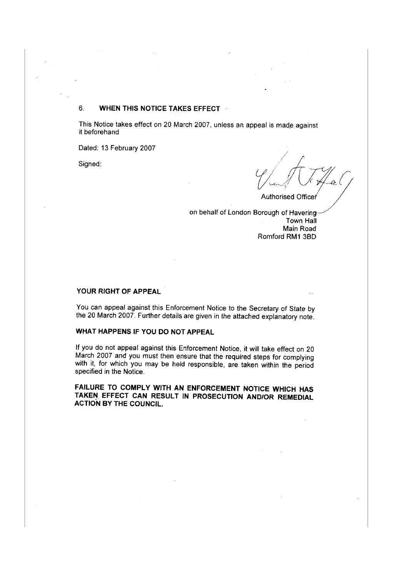# 6. **WHEN THIS NOTICE TAKES EFFECT**

This Notice takes effect on 20 March 2007, unless an appeal is made against it beforehand

Dated: 13 February 2007

Signed:

 $V \sim$ 

Authorised Officer

on behalf of London Borough of Haverin Town Hall Main Road Romford RM1 380

# **YOUR RIGHT OF APPEAL**

You can appeal against this Enforcement Notice to the Secretary of State by the 20 March 2007. Further details are given in the attached explanatory note.

# **WHAT HAPPENS IF YOU DO NOT APPEAL**

If you do not appeal against this Enforcement Notice, it will take effect on 20 March 2007 and you must then ensure that the required steps for complying with it, for which you may be held responsible, are taken within the period specified in the Notice.

**FAILURE TO COMPLY WITH AN ENFORCEMENT NOTICE WHICH HAS TAKEN EFFECT CAN RESULT IN PROSECUTION AND/OR REMEDIAL ACTION BY THE COUNCIL.**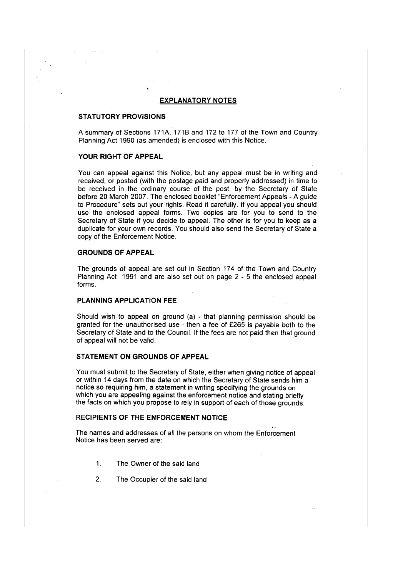### **EXPLANATORY NOTES**

### **STATUTORY PROVISIONS**

A summary of Sections 171A, 1718 and 172 to 177 of the Town and Country Planning Act 1990 (as amended) is enclosed with this Notice.

# **YOUR RIGHT OF APPEAL**

You can appeal against this Notice, but any appeal must be in writing and received, or posted (with the postage paid and properly addressed) in time to be received in the ordinary course of the post, by the Secretary of State before 20 March 2007. The enclosed booklet "Enforcement Appeals - A guide to Procedure" sets out your rights. Read it carefully. If you appeal you should use the enclosed appeal forms. Two copies are for you to send to the Secretary of State if you decide to appeal. The other is for you to keep as a duplicate for your own records. You should also send the Secretary of State a copy of the Enforcement Notice.

## **GROUNDS OF APPEAL**

The grounds of appeal are set out in Section 174 of the Town and Country Planning Act 1991 and are also set out on page 2 - 5 the enclosed appeal forms.

## **PLANNING APPLICATION FEE**

Should wish to appeal on ground (a) - that planning permission should be granted for the unauthorised use - then a fee of £265 is payable both to the Secretary of State and to the Council. If the fees are not paid then that ground of appeal will not be valid.

## **STATEMENT ON GROUNDS OF APPEAL**

You must submit to the Secretary of State, either when giving notice of appeal or within 14 days from the date on which the Secretary of State sends him a notice so requiring him, a statement in writing specifying the grounds on which you are appealing against the enforcement notice and stating briefly the facts on which you propose to rely in support of each of those grounds.

### **RECIPIENTS OF THE ENFORCEMENT NOTICE**

The names and addresses of all the persons on whom the Enforcement Notice has been served are:

- 1. The Owner of the said land
- 2. The Occupier of the said land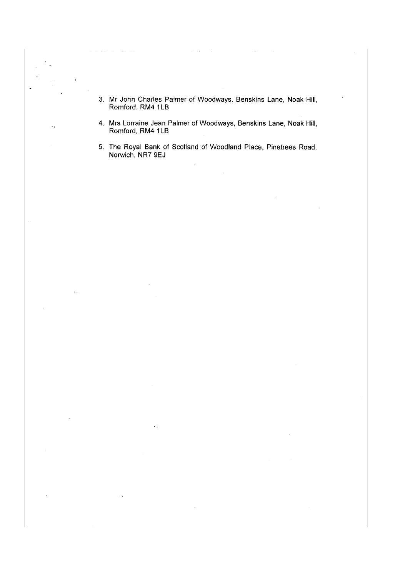- 3. Mr John Charles Palmer of Woodways. Benskins Lane, Noak Hill, Romford. RM4 1LB
- 4. Mrs Lorraine Jean Palmer of Woodways, Benskins Lane, Noak Hill, Romford, RM4 1LB

5. The Royal Bank of Scotland of Woodland Place, Pinetrees Road. Norwich, NR7 9EJ